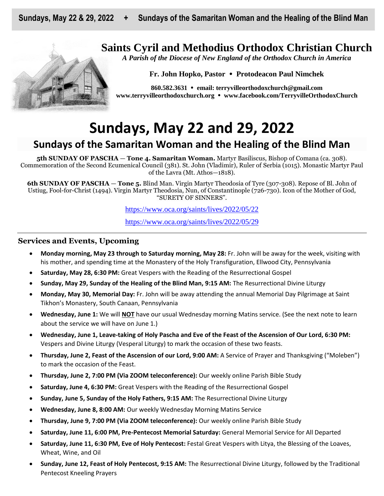## **Saints Cyril and Methodius Orthodox Christian Church**

*A Parish of the Diocese of New England of the Orthodox Church in America*

**Fr. John Hopko, Pastor Protodeacon Paul Nimchek**

**860.582.3631 email: [terryvilleorthodoxchurch@gmail.com](mailto:saintcyril@snet.net) [www.terryvilleorthodoxchurch.org](http://www.terryvilleorthodoxchurch.org/) [www.facebook.com/TerryvilleOrthodoxChurch](http://www.facebook.com/TerryvilleOrthodoxChurch)**

# **Sundays, May 22 and 29, 2022**

## **Sundays of the Samaritan Woman and the Healing of the Blind Man**

**5th SUNDAY OF PASCHA** — **Tone 4. Samaritan Woman.** Martyr Basiliscus, Bishop of Comana (ca. 308). Commemoration of the Second Ecumenical Council (381). St. John (Vladimir), Ruler of Serbia (1015). Monastic Martyr Paul of the Lavra (Mt. Athos—1818).

**6th SUNDAY OF PASCHA** — **Tone 5.** Blind Man. Virgin Martyr Theodosia of Tyre (307-308). Repose of Bl. John of Ustiug, Fool-for-Christ (1494). Virgin Martyr Theodosia, Nun, of Constantinople (726-730). Icon of the Mother of God, "SURETY OF SINNERS".

<https://www.oca.org/saints/lives/2022/05/22>

<https://www.oca.org/saints/lives/2022/05/29>

#### **Services and Events, Upcoming**

- **Monday morning, May 23 through to Saturday morning, May 28:** Fr. John will be away for the week, visiting with his mother, and spending time at the Monastery of the Holy Transfiguration, Ellwood City, Pennsylvania
- **Saturday, May 28, 6:30 PM:** Great Vespers with the Reading of the Resurrectional Gospel
- **Sunday, May 29, Sunday of the Healing of the Blind Man, 9:15 AM:** The Resurrectional Divine Liturgy
- **Monday, May 30, Memorial Day:** Fr. John will be away attending the annual Memorial Day Pilgrimage at Saint Tikhon's Monastery, South Canaan, Pennsylvania
- **Wednesday, June 1:** We will **NOT** have our usual Wednesday morning Matins service. (See the next note to learn about the service we will have on June 1.)
- **Wednesday, June 1, Leave-taking of Holy Pascha and Eve of the Feast of the Ascension of Our Lord, 6:30 PM:**  Vespers and Divine Liturgy (Vesperal Liturgy) to mark the occasion of these two feasts.
- **Thursday, June 2, Feast of the Ascension of our Lord, 9:00 AM:** A Service of Prayer and Thanksgiving ("Moleben") to mark the occasion of the Feast.
- **Thursday, June 2, 7:00 PM (Via ZOOM teleconference):** Our weekly online Parish Bible Study
- **Saturday, June 4, 6:30 PM:** Great Vespers with the Reading of the Resurrectional Gospel
- **Sunday, June 5, Sunday of the Holy Fathers, 9:15 AM:** The Resurrectional Divine Liturgy
- **Wednesday, June 8, 8:00 AM:** Our weekly Wednesday Morning Matins Service
- **Thursday, June 9, 7:00 PM (Via ZOOM teleconference):** Our weekly online Parish Bible Study
- **Saturday, June 11, 6:00 PM, Pre-Pentecost Memorial Saturday:** General Memorial Service for All Departed
- **Saturday, June 11, 6:30 PM, Eve of Holy Pentecost:** Festal Great Vespers with Litya, the Blessing of the Loaves, Wheat, Wine, and Oil
- **Sunday, June 12, Feast of Holy Pentecost, 9:15 AM:** The Resurrectional Divine Liturgy, followed by the Traditional Pentecost Kneeling Prayers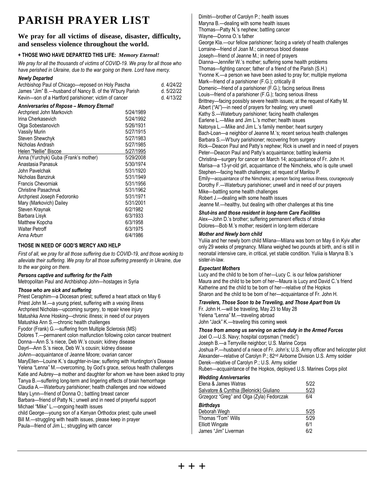# **PARISH PRAYER LIST**

#### **We pray for all victims of disease, disaster, difficulty, and senseless violence throughout the world.**

#### **+ THOSE WHO HAVE DEPARTED THIS LIFE:** *Memory Eternal!*

*We pray for all the thousands of victims of COVID-19. We pray for all those who have perished in Ukraine, due to the war going on there. Lord have mercy.* 

#### *Newly Departed*

| Archbishop Paul of Chicago—reposed on Holy Pascha       | d. 4/24/22 |
|---------------------------------------------------------|------------|
| James "Jim" B.—husband of Nancy B. of the W'bury Parish | d. 5/22/22 |
| Kevin-son of a Hartford parishioner; victim of cancer   | d. 4/13/22 |

#### *Anniversaries of Repose – Memory Eternal!*

| Archpriest John Markovich            | 5/24/1989 |
|--------------------------------------|-----------|
| Irina Cherkasevich                   | 5/24/1992 |
| Olga Sobestanovich                   | 5/26/1931 |
| Vassily Murin                        | 5/27/1915 |
| <b>Steven Shewchyk</b>               | 5/27/1983 |
| Nicholas Andrash                     | 5/27/1985 |
| Helen "Nellie" Biscoe                | 5/27/1995 |
| Anna (Yurchyk) Guba (Frank's mother) | 5/29/2008 |
| Anastasia Panasuk                    | 5/30/1974 |
| John Pavelchak                       | 5/31/1920 |
| Nicholas Banziruk                    | 5/31/1949 |
| Francis Chevorniak                   | 5/31/1956 |
| Christine Pasachnuk                  | 5/31/1962 |
| Archpriest Joseph Fedoronko          | 5/31/1971 |
| Mary (Markovich) Dailey              | 5/31/2001 |
| Steven Kraynak                       | 6/2/1982  |
| Barbara Lisyk                        | 6/3/1933  |
| Matthew Kopcha                       | 6/3/1958  |
| <b>Walter Petroff</b>                | 6/3/1975  |
| Anna Arburr                          | 6/4/1986  |

#### **THOSE IN NEED OF GOD'S MERCY AND HELP**

*First of all, we pray for all those suffering due to COVID-19, and those working to alleviate their suffering. We pray for all those suffering presently in Ukraine, due to the war going on there.* 

#### *Persons captive and suffering for the Faith*

Metropolitan Paul and Archbishop John—hostages in Syria

#### *Those who are sick and suffering*

Priest Ceraphim—a Diocesan priest; suffered a heart attack on May 6 Priest John M.—a young priest, suffering with a vexing illness Archpriest Nicholas—upcoming surgery, to repair knee injury Matushka Anne Hosking—chronic illness; in need of our prayers Matushka Ann S.—chronic health challenges Fyodor (Frank) G.—suffering from Multiple Sclerosis (MS) Dolores T.—permanent colon malfunction following colon cancer treatment Donna—Ann S.'s niece, Deb W.'s cousin; kidney disease Dayrl—Ann S.'s niece, Deb W.'s cousin; kidney disease JoAnn—acquaintance of Jeanne Moore; ovarian cancer MaryEllen—Louine K.'s daughter-in-law; suffering with Huntington's Disease Yelena "Lenna" M.—overcoming, by God's grace, serious health challenges Katie and Aubrey—a mother and daughter for whom we have been asked to pray Tanya B.—suffering long-term and lingering effects of brain hemorrhage Claudia A.—Waterbury parishioner; health challenges and now widowed Mary Lynn—friend of Donna O.; battling breast cancer Barbara—friend of Patty N.; unwell and in need of prayerful support Michael "Mike" L.—ongoing health issues child George—young son of a Kenyan Orthodox priest; quite unwell Bill M.—struggling with health issues, please keep in prayer Paula—friend of Jim L.; struggling with cancer

Dimitri—brother of Carolyn P.; health issues Maryna B.—dealing with some health issues Thomas—Patty N.'s nephew; battling cancer Wayne—Donna O.'s father George Kla.—our fellow parishioner; facing a variety of health challenges Lorraine—friend of Joan M.; cancerous blood disease Joseph—friend of Jeanne M.; in need of prayers Dianna—Jennifer W.'s mother; suffering some health problems Thomas—fighting cancer; father of a friend of the Parish (S.H.) Yvonne K.—a person we have been asked to pray for; multiple myeloma Mark—friend of a parishioner (F.G.); critically ill Domenic—friend of a parishioner (F.G.); facing serious illness Louis—friend of a parishioner (F.G.); facing serious illness Brittney—facing possibly severe health issues; at the request of Kathy M. Albert ("Al")—in need of prayers for healing; very unwell Kathy S.—Waterbury parishioner; facing health challenges Earlene L.—Mike and Jim L.'s mother; health issues Natonya L.—Mike and Jim L.'s family member; heart surgery Bach-Loan—a neighbor of Jeanne M.'s; recent serious health challenges Barbara S.—W'bury parishioner; recovering from surgery Rick—Deacon Paul and Patty's nephew; Rick is unwell and in need of prayers Peter—Deacon Paul and Patty's acquaintance; battling leukemia Christina—surgery for cancer on March 14; acquaintance of Fr. John H. Marisa—a 13-yr-old girl, acquaintance of the Nimcheks, who is quite unwell Stephen—facing health challenges; at request of Marilou P. Emily—acquaintance of the Nimcheks; a person facing serious illness, courageously Dorothy F.—Waterbury parishioner; unwell and in need of our prayers Mike—battling some health challenges Robert J.—dealing with some health issues

Jeanne M.—healthy, but dealing with other challenges at this time

#### *Shut-ins and those resident in long-term Care Facilities*

Alex—John D.'s brother; suffering permanent effects of stroke Dolores—Bob M.'s mother; resident in long-term eldercare

#### *Mother and Newly born child*

Yuliia and her newly born child Milana—Milana was born on May 6 in Kyiv after only 29 weeks of pregnancy. Milana weighed two pounds at birth, and is still in neonatal intensive care, in critical, yet stable condition. Yuliia is Maryna B.'s sister-in-law.

#### *Expectant Mothers*

Lucy and the child to be born of her—Lucy C. is our fellow parishioner Maura and the child to be born of her—Maura is Lucy and David C.'s friend Katherine and the child to be born of her—relative of the Hopkos Sharon and the child to be born of her—acquaintance of Fr. John H.

#### *Travelers, Those Soon to be Traveling, and Those Apart from Us*

Fr. John H.—will be traveling, May 23 to May 28 Yelena "Lenna" M.—traveling abroad John "Jack" K.—traveling this coming week

#### *Those from among us serving on active duty in the Armed Forces*

Joel O.—U.S. Navy; hospital corpsman ("medic") Joseph B.—a Terryville neighbor; U.S. Marine Corps Joshua P.—husband of a niece of Fr. John's; U.S. Army officer and helicopter pilot Alexander—relative of Carolyn P.; 82nd Airborne Division U.S. Army soldier Derek—relative of Carolyn P.; U.S. Army soldier Ruben—acquaintance of the Hopkos, deployed U.S. Marines Corps pilot

#### *Wedding Anniversaries*

| Elena & James Watras                      | 5/22 |
|-------------------------------------------|------|
| Salvatore & Cynthia (Belonick) Giuliano   | 5/23 |
| Grzegorz "Greg" and Olga (Zyla) Fedorczak | 6/4  |
| Birthdays                                 |      |
| Deborah Wegh                              | 5/25 |
| Thomae "Tom" Wille                        | 5/20 |

| ____                 |      |
|----------------------|------|
| Thomas "Tom" Wills   | 5/29 |
| Elliott Wingate      | 6/1  |
| James "Jim" Liverman | 612  |
|                      |      |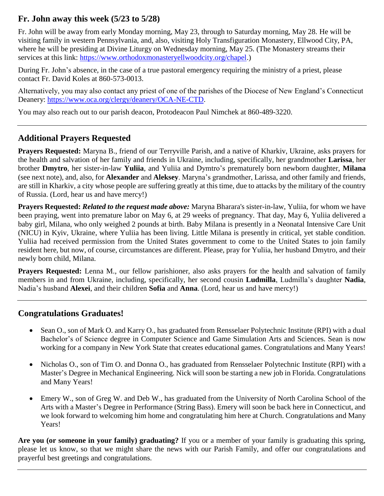### **Fr. John away this week (5/23 to 5/28)**

Fr. John will be away from early Monday morning, May 23, through to Saturday morning, May 28. He will be visiting family in western Pennsylvania, and, also, visiting Holy Transfiguration Monastery, Ellwood City, PA, where he will be presiding at Divine Liturgy on Wednesday morning, May 25. (The Monastery streams their services at this link: [https://www.orthodoxmonasteryellwoodcity.org/chapel.](https://www.orthodoxmonasteryellwoodcity.org/chapel))

During Fr. John's absence, in the case of a true pastoral emergency requiring the ministry of a priest, please contact Fr. David Koles at 860-573-0013.

Alternatively, you may also contact any priest of one of the parishes of the Diocese of New England's Connecticut Deanery: [https://www.oca.org/clergy/deanery/OCA-NE-CTD.](https://www.oca.org/clergy/deanery/OCA-NE-CTD)

You may also reach out to our parish deacon, Protodeacon Paul Nimchek at 860-489-3220.

## **Additional Prayers Requested**

**Prayers Requested:** Maryna B., friend of our Terryville Parish, and a native of Kharkiv, Ukraine, asks prayers for the health and salvation of her family and friends in Ukraine, including, specifically, her grandmother **Larissa**, her brother **Dmytro**, her sister-in-law **Yuliia**, and Yuliia and Dymtro's prematurely born newborn daughter, **Milana** (see next note), and, also, for **Alexander** and **Aleksey**. Maryna's grandmother, Larissa, and other family and friends, are still in Kharkiv, a city whose people are suffering greatly at this time, due to attacks by the military of the country of Russia. (Lord, hear us and have mercy!)

**Prayers Requested:** *Related to the request made above:* Maryna Bharara's sister-in-law, Yuliia, for whom we have been praying, went into premature labor on May 6, at 29 weeks of pregnancy. That day, May 6, Yuliia delivered a baby girl, Milana, who only weighed 2 pounds at birth. Baby Milana is presently in a Neonatal Intensive Care Unit (NICU) in Kyiv, Ukraine, where Yuliia has been living. Little Milana is presently in critical, yet stable condition. Yuliia had received permission from the United States government to come to the United States to join family resident here, but now, of course, circumstances are different. Please, pray for Yuliia, her husband Dmytro, and their newly born child, Milana.

**Prayers Requested:** Lenna M., our fellow parishioner, also asks prayers for the health and salvation of family members in and from Ukraine, including, specifically, her second cousin **Ludmilla**, Ludmilla's daughter **Nadia**, Nadia's husband **Alexei**, and their children **Sofia** and **Anna**. (Lord, hear us and have mercy!)

### **Congratulations Graduates!**

- Sean O., son of Mark O. and Karry O., has graduated from Rensselaer Polytechnic Institute (RPI) with a dual Bachelor's of Science degree in Computer Science and Game Simulation Arts and Sciences. Sean is now working for a company in New York State that creates educational games. Congratulations and Many Years!
- Nicholas O., son of Tim O. and Donna O., has graduated from Rensselaer Polytechnic Institute (RPI) with a Master's Degree in Mechanical Engineering. Nick will soon be starting a new job in Florida. Congratulations and Many Years!
- Emery W., son of Greg W. and Deb W., has graduated from the University of North Carolina School of the Arts with a Master's Degree in Performance (String Bass). Emery will soon be back here in Connecticut, and we look forward to welcoming him home and congratulating him here at Church. Congratulations and Many Years!

**Are you (or someone in your family) graduating?** If you or a member of your family is graduating this spring, please let us know, so that we might share the news with our Parish Family, and offer our congratulations and prayerful best greetings and congratulations.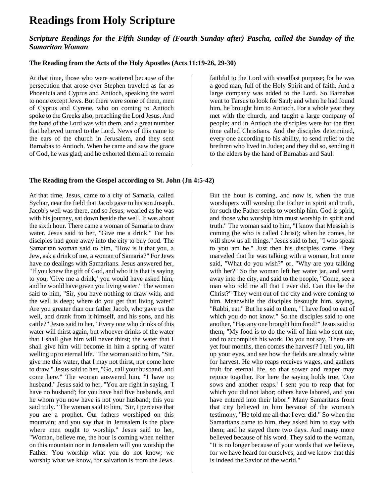# **Readings from Holy Scripture**

#### *Scripture Readings for the Fifth Sunday of (Fourth Sunday after) Pascha, called the Sunday of the Samaritan Woman*

#### **The Reading from the Acts of the Holy Apostles (Acts 11:19-26, 29-30)**

At that time, those who were scattered because of the persecution that arose over Stephen traveled as far as Phoenicia and Cyprus and Antioch, speaking the word to none except Jews. But there were some of them, men of Cyprus and Cyrene, who on coming to Antioch spoke to the Greeks also, preaching the Lord Jesus. And the hand of the Lord was with them, and a great number that believed turned to the Lord. News of this came to the ears of the church in Jerusalem, and they sent Barnabas to Antioch. When he came and saw the grace of God, he was glad; and he exhorted them all to remain faithful to the Lord with steadfast purpose; for he was a good man, full of the Holy Spirit and of faith. And a large company was added to the Lord. So Barnabas went to Tarsus to look for Saul; and when he had found him, he brought him to Antioch. For a whole year they met with the church, and taught a large company of people; and in Antioch the disciples were for the first time called Christians. And the disciples determined, every one according to his ability, to send relief to the brethren who lived in Judea; and they did so, sending it to the elders by the hand of Barnabas and Saul.

#### **The Reading from the Gospel according to St. John (Jn 4:5-42)**

At that time, Jesus, came to a city of Samaria, called Sychar, near the field that Jacob gave to his son Joseph. Jacob's well was there, and so Jesus, wearied as he was with his journey, sat down beside the well. It was about the sixth hour. There came a woman of Samaria to draw water. Jesus said to her, "Give me a drink." For his disciples had gone away into the city to buy food. The Samaritan woman said to him, "How is it that you, a Jew, ask a drink of me, a woman of Samaria?" For Jews have no dealings with Samaritans. Jesus answered her, "If you knew the gift of God, and who it is that is saying to you, 'Give me a drink,' you would have asked him, and he would have given you living water." The woman said to him, "Sir, you have nothing to draw with, and the well is deep; where do you get that living water? Are you greater than our father Jacob, who gave us the well, and drank from it himself, and his sons, and his cattle?" Jesus said to her, "Every one who drinks of this water will thirst again, but whoever drinks of the water that I shall give him will never thirst; the water that I shall give him will become in him a spring of water welling up to eternal life." The woman said to him, "Sir, give me this water, that I may not thirst, nor come here to draw." Jesus said to her, "Go, call your husband, and come here." The woman answered him, "I have no husband." Jesus said to her, "You are right in saying, 'I have no husband'; for you have had five husbands, and he whom you now have is not your husband; this you said truly." The woman said to him, "Sir, I perceive that you are a prophet. Our fathers worshiped on this mountain; and you say that in Jerusalem is the place where men ought to worship." Jesus said to her, "Woman, believe me, the hour is coming when neither on this mountain nor in Jerusalem will you worship the Father. You worship what you do not know; we worship what we know, for salvation is from the Jews.

But the hour is coming, and now is, when the true worshipers will worship the Father in spirit and truth, for such the Father seeks to worship him. God is spirit, and those who worship him must worship in spirit and truth." The woman said to him, "I know that Messiah is coming (he who is called Christ); when he comes, he will show us all things." Jesus said to her, "I who speak to you am he." Just then his disciples came. They marveled that he was talking with a woman, but none said, "What do you wish?" or, "Why are you talking with her?" So the woman left her water jar, and went away into the city, and said to the people, "Come, see a man who told me all that I ever did. Can this be the Christ?" They went out of the city and were coming to him. Meanwhile the disciples besought him, saying, "Rabbi, eat." But he said to them, "I have food to eat of which you do not know." So the disciples said to one another, "Has any one brought him food?" Jesus said to them, "My food is to do the will of him who sent me, and to accomplish his work. Do you not say, 'There are yet four months, then comes the harvest'? I tell you, lift up your eyes, and see how the fields are already white for harvest. He who reaps receives wages, and gathers fruit for eternal life, so that sower and reaper may rejoice together. For here the saying holds true, 'One sows and another reaps.' I sent you to reap that for which you did not labor; others have labored, and you have entered into their labor." Many Samaritans from that city believed in him because of the woman's testimony, "He told me all that I ever did." So when the Samaritans came to him, they asked him to stay with them; and he stayed there two days. And many more believed because of his word. They said to the woman, "It is no longer because of your words that we believe, for we have heard for ourselves, and we know that this is indeed the Savior of the world."